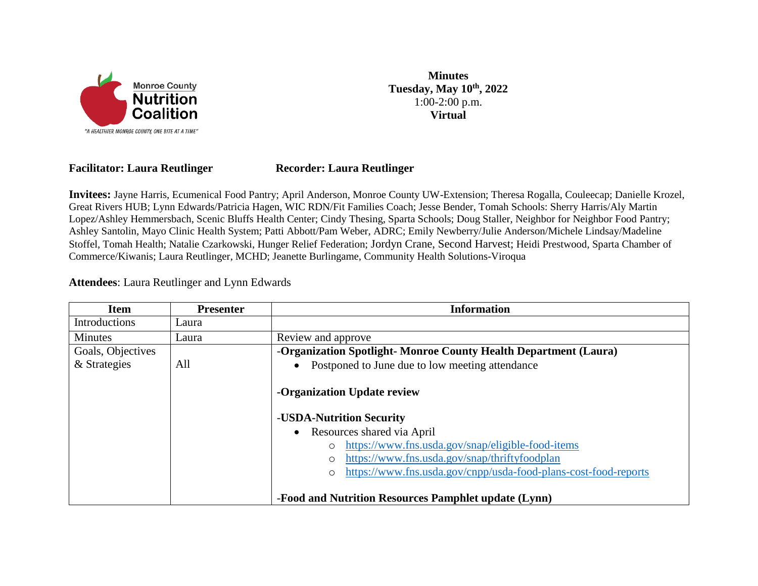

**Minutes Tuesday, May 10th, 2022** 1:00-2:00 p.m. **Virtual**

## **Facilitator: Laura Reutlinger Recorder: Laura Reutlinger**

**Invitees:** Jayne Harris, Ecumenical Food Pantry; April Anderson, Monroe County UW-Extension; Theresa Rogalla, Couleecap; Danielle Krozel, Great Rivers HUB; Lynn Edwards/Patricia Hagen, WIC RDN/Fit Families Coach; Jesse Bender, Tomah Schools: Sherry Harris/Aly Martin Lopez/Ashley Hemmersbach, Scenic Bluffs Health Center; Cindy Thesing, Sparta Schools; Doug Staller, Neighbor for Neighbor Food Pantry; Ashley Santolin, Mayo Clinic Health System; Patti Abbott/Pam Weber, ADRC; Emily Newberry/Julie Anderson/Michele Lindsay/Madeline Stoffel, Tomah Health; Natalie Czarkowski, Hunger Relief Federation; Jordyn Crane, Second Harvest; Heidi Prestwood, Sparta Chamber of Commerce/Kiwanis; Laura Reutlinger, MCHD; Jeanette Burlingame, Community Health Solutions-Viroqua

**Attendees**: Laura Reutlinger and Lynn Edwards

| <b>Item</b>       | <b>Presenter</b> | <b>Information</b>                                                         |
|-------------------|------------------|----------------------------------------------------------------------------|
| Introductions     | Laura            |                                                                            |
| Minutes           | Laura            | Review and approve                                                         |
| Goals, Objectives |                  | -Organization Spotlight-Monroe County Health Department (Laura)            |
| & Strategies      | All              | Postponed to June due to low meeting attendance<br>$\bullet$               |
|                   |                  | -Organization Update review                                                |
|                   |                  | -USDA-Nutrition Security                                                   |
|                   |                  | Resources shared via April<br>$\bullet$                                    |
|                   |                  | https://www.fns.usda.gov/snap/eligible-food-items<br>$\circ$               |
|                   |                  | https://www.fns.usda.gov/snap/thriftyfoodplan<br>$\circ$                   |
|                   |                  | https://www.fns.usda.gov/cnpp/usda-food-plans-cost-food-reports<br>$\circ$ |
|                   |                  | -Food and Nutrition Resources Pamphlet update (Lynn)                       |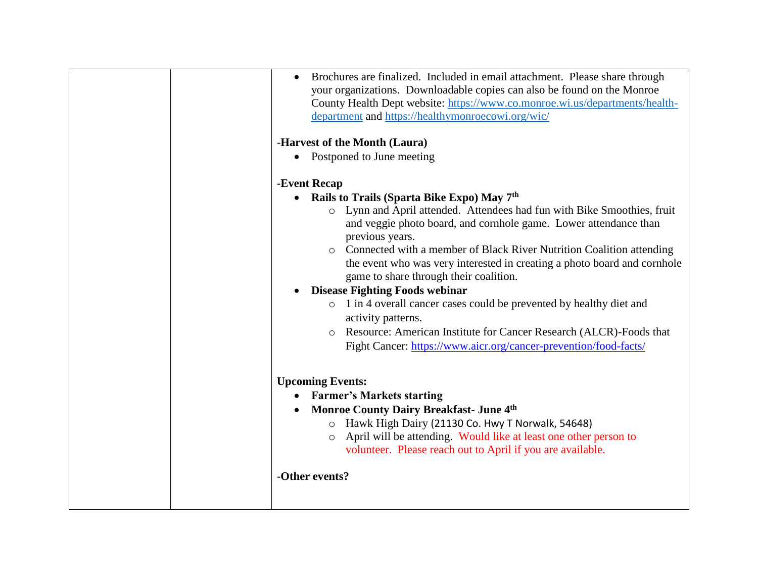| Brochures are finalized. Included in email attachment. Please share through<br>your organizations. Downloadable copies can also be found on the Monroe<br>County Health Dept website: https://www.co.monroe.wi.us/departments/health-<br>department and https://healthymonroecowi.org/wic/ |
|--------------------------------------------------------------------------------------------------------------------------------------------------------------------------------------------------------------------------------------------------------------------------------------------|
| -Harvest of the Month (Laura)                                                                                                                                                                                                                                                              |
| • Postponed to June meeting                                                                                                                                                                                                                                                                |
| -Event Recap                                                                                                                                                                                                                                                                               |
| Rails to Trails (Sparta Bike Expo) May 7 <sup>th</sup><br>$\bullet$                                                                                                                                                                                                                        |
| o Lynn and April attended. Attendees had fun with Bike Smoothies, fruit<br>and veggie photo board, and cornhole game. Lower attendance than<br>previous years.                                                                                                                             |
| Connected with a member of Black River Nutrition Coalition attending<br>$\circ$<br>the event who was very interested in creating a photo board and cornhole<br>game to share through their coalition.                                                                                      |
| <b>Disease Fighting Foods webinar</b>                                                                                                                                                                                                                                                      |
| o 1 in 4 overall cancer cases could be prevented by healthy diet and<br>activity patterns.                                                                                                                                                                                                 |
| Resource: American Institute for Cancer Research (ALCR)-Foods that                                                                                                                                                                                                                         |
| Fight Cancer: https://www.aicr.org/cancer-prevention/food-facts/                                                                                                                                                                                                                           |
| <b>Upcoming Events:</b>                                                                                                                                                                                                                                                                    |
| <b>Farmer's Markets starting</b>                                                                                                                                                                                                                                                           |
| <b>Monroe County Dairy Breakfast- June 4th</b><br>$\bullet$                                                                                                                                                                                                                                |
| O Hawk High Dairy (21130 Co. Hwy T Norwalk, 54648)                                                                                                                                                                                                                                         |
| April will be attending. Would like at least one other person to<br>$\circ$<br>volunteer. Please reach out to April if you are available.                                                                                                                                                  |
| -Other events?                                                                                                                                                                                                                                                                             |
|                                                                                                                                                                                                                                                                                            |